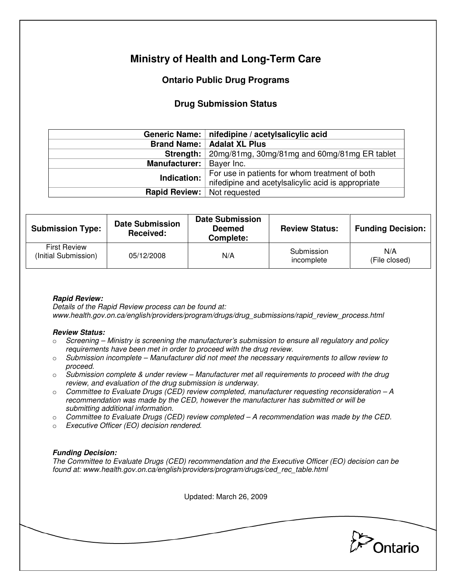# **Ministry of Health and Long-Term Care**

## **Ontario Public Drug Programs**

## **Drug Submission Status**

|                            | Generic Name:   nifedipine / acetylsalicylic acid  |  |  |
|----------------------------|----------------------------------------------------|--|--|
|                            | <b>Brand Name:   Adalat XL Plus</b>                |  |  |
| Strength: $ $              | 20mg/81mg, 30mg/81mg and 60mg/81mg ER tablet       |  |  |
| Manufacturer:   Bayer Inc. |                                                    |  |  |
| Indication:                | For use in patients for whom treatment of both     |  |  |
|                            | nifedipine and acetylsalicylic acid is appropriate |  |  |
| Rapid Review:              | Not requested                                      |  |  |

| <b>Submission Type:</b>                     | <b>Date Submission</b><br><b>Received:</b> | <b>Date Submission</b><br><b>Deemed</b><br>Complete: | <b>Review Status:</b>    | <b>Funding Decision:</b> |
|---------------------------------------------|--------------------------------------------|------------------------------------------------------|--------------------------|--------------------------|
| <b>First Review</b><br>(Initial Submission) | 05/12/2008                                 | N/A                                                  | Submission<br>incomplete | N/A<br>(File closed)     |

### **Rapid Review:**

Details of the Rapid Review process can be found at: www.health.gov.on.ca/english/providers/program/drugs/drug\_submissions/rapid\_review\_process.html

#### **Review Status:**

- $\circ$  Screening Ministry is screening the manufacturer's submission to ensure all regulatory and policy requirements have been met in order to proceed with the drug review.
- $\circ$  Submission incomplete Manufacturer did not meet the necessary requirements to allow review to proceed.
- $\circ$  Submission complete & under review Manufacturer met all requirements to proceed with the drug review, and evaluation of the drug submission is underway.
- $\circ$  Committee to Evaluate Drugs (CED) review completed, manufacturer requesting reconsideration  $-A$ recommendation was made by the CED, however the manufacturer has submitted or will be submitting additional information.
- $\circ$  Committee to Evaluate Drugs (CED) review completed  $-A$  recommendation was made by the CED.
- o Executive Officer (EO) decision rendered.

### **Funding Decision:**

The Committee to Evaluate Drugs (CED) recommendation and the Executive Officer (EO) decision can be found at: www.health.gov.on.ca/english/providers/program/drugs/ced\_rec\_table.html

Updated: March 26, 2009